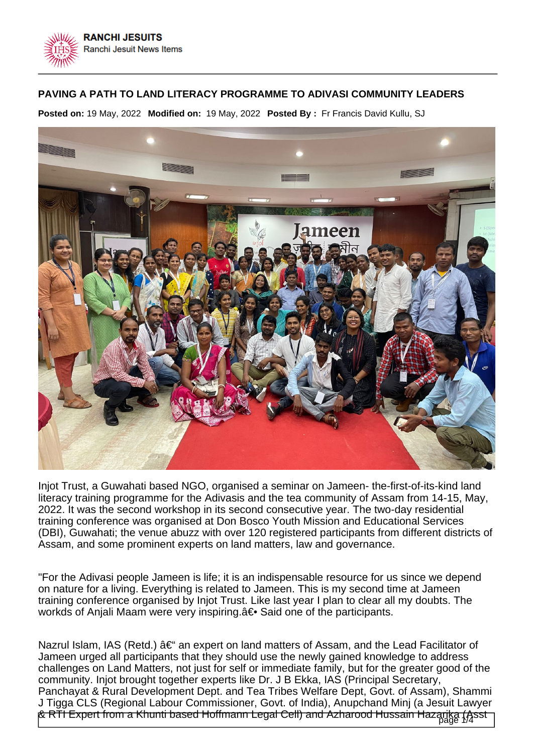

## **PAVING A PATH TO LAND LITERACY PROGRAMME TO ADIVASI COMMUNITY LEADERS**

**Posted on:** 19 May, 2022 **Modified on:** 19 May, 2022 **Posted By :** Fr Francis David Kullu, SJ



Injot Trust, a Guwahati based NGO, organised a seminar on Jameen- the-first-of-its-kind land literacy training programme for the Adivasis and the tea community of Assam from 14-15, May, 2022. It was the second workshop in its second consecutive year. The two-day residential training conference was organised at Don Bosco Youth Mission and Educational Services (DBI), Guwahati; the venue abuzz with over 120 registered participants from different districts of Assam, and some prominent experts on land matters, law and governance.

"For the Adivasi people Jameen is life; it is an indispensable resource for us since we depend on nature for a living. Everything is related to Jameen. This is my second time at Jameen training conference organised by Injot Trust. Like last year I plan to clear all my doubts. The workds of Anjali Maam were very inspiring. a ightarrow Said one of the participants.

& RTI Expert from a Khunti based Hoffmann Legal Cell) and Azharood Hussain Hazarika (Asst<br>I Nazrul Islam, IAS (Retd.)  $\hat{a} \in \hat{a}$  an expert on land matters of Assam, and the Lead Facilitator of Jameen urged all participants that they should use the newly gained knowledge to address challenges on Land Matters, not just for self or immediate family, but for the greater good of the community. Injot brought together experts like Dr. J B Ekka, IAS (Principal Secretary, Panchayat & Rural Development Dept. and Tea Tribes Welfare Dept, Govt. of Assam), Shammi J Tigga CLS (Regional Labour Commissioner, Govt. of India), Anupchand Minj (a Jesuit Lawyer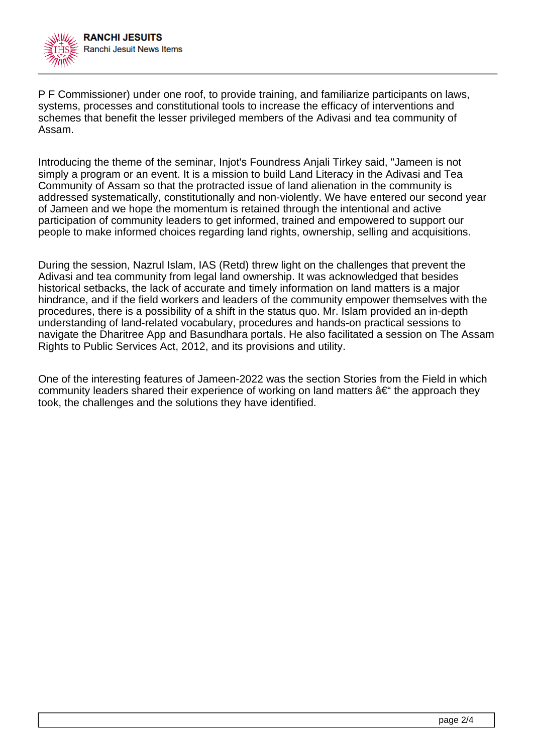

P F Commissioner) under one roof, to provide training, and familiarize participants on laws, systems, processes and constitutional tools to increase the efficacy of interventions and schemes that benefit the lesser privileged members of the Adivasi and tea community of Assam.

Introducing the theme of the seminar, Injot's Foundress Anjali Tirkey said, "Jameen is not simply a program or an event. It is a mission to build Land Literacy in the Adivasi and Tea Community of Assam so that the protracted issue of land alienation in the community is addressed systematically, constitutionally and non-violently. We have entered our second year of Jameen and we hope the momentum is retained through the intentional and active participation of community leaders to get informed, trained and empowered to support our people to make informed choices regarding land rights, ownership, selling and acquisitions.

During the session, Nazrul Islam, IAS (Retd) threw light on the challenges that prevent the Adivasi and tea community from legal land ownership. It was acknowledged that besides historical setbacks, the lack of accurate and timely information on land matters is a major hindrance, and if the field workers and leaders of the community empower themselves with the procedures, there is a possibility of a shift in the status quo. Mr. Islam provided an in-depth understanding of land-related vocabulary, procedures and hands-on practical sessions to navigate the Dharitree App and Basundhara portals. He also facilitated a session on The Assam Rights to Public Services Act, 2012, and its provisions and utility.

One of the interesting features of Jameen-2022 was the section Stories from the Field in which community leaders shared their experience of working on land matters  $\hat{a}\in\mathscr{C}$  the approach they took, the challenges and the solutions they have identified.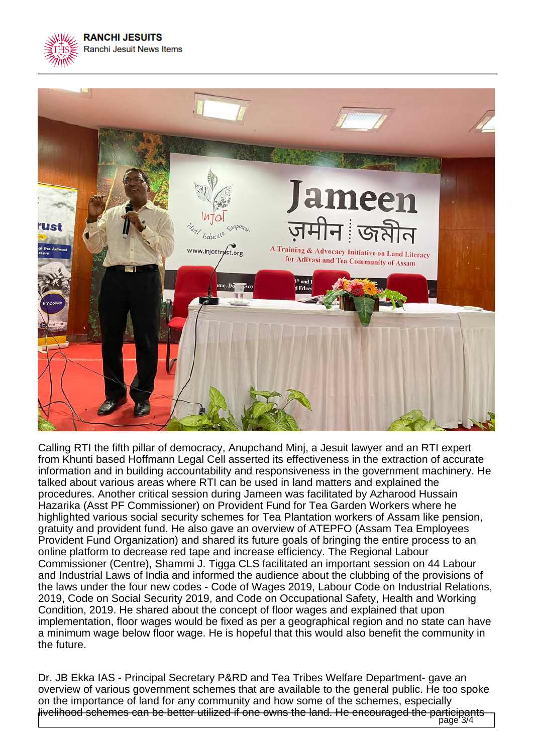



Calling RTI the fifth pillar of democracy, Anupchand Minj, a Jesuit lawyer and an RTI expert from Khunti based Hoffmann Legal Cell asserted its effectiveness in the extraction of accurate information and in building accountability and responsiveness in the government machinery. He talked about various areas where RTI can be used in land matters and explained the procedures. Another critical session during Jameen was facilitated by Azharood Hussain Hazarika (Asst PF Commissioner) on Provident Fund for Tea Garden Workers where he highlighted various social security schemes for Tea Plantation workers of Assam like pension, gratuity and provident fund. He also gave an overview of ATEPFO (Assam Tea Employees Provident Fund Organization) and shared its future goals of bringing the entire process to an online platform to decrease red tape and increase efficiency. The Regional Labour Commissioner (Centre), Shammi J. Tigga CLS facilitated an important session on 44 Labour and Industrial Laws of India and informed the audience about the clubbing of the provisions of the laws under the four new codes - Code of Wages 2019, Labour Code on Industrial Relations, 2019, Code on Social Security 2019, and Code on Occupational Safety, Health and Working Condition, 2019. He shared about the concept of floor wages and explained that upon implementation, floor wages would be fixed as per a geographical region and no state can have a minimum wage below floor wage. He is hopeful that this would also benefit the community in the future.

Dr. JB Ekka IAS - Principal Secretary P&RD and Tea Tribes Welfare Department- gave an overview of various government schemes that are available to the general public. He too spoke on the importance of land for any community and how some of the schemes, especially livelihood schemes can be better utilized if one owns the land. He encouraged the participants